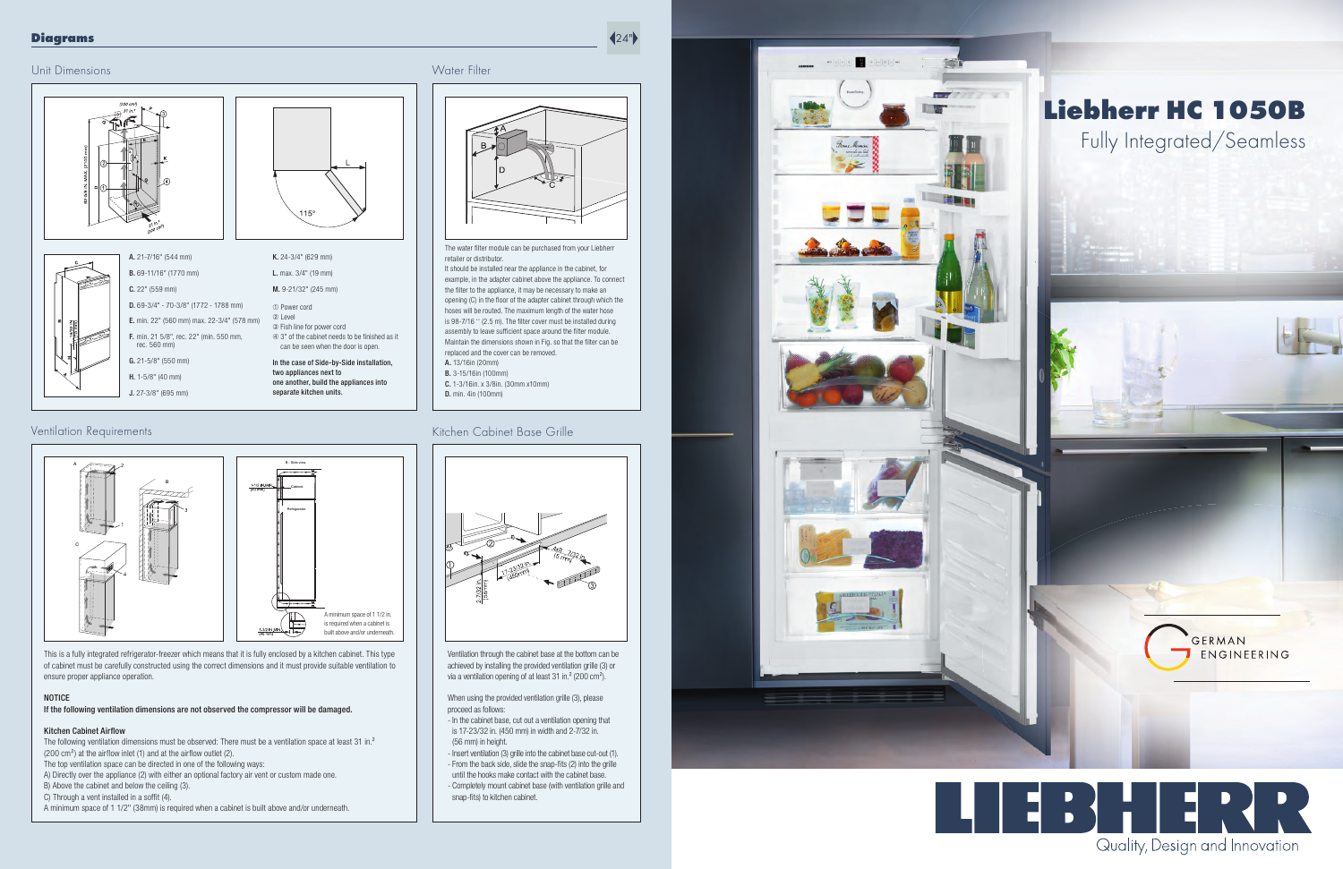

# Water Filter

This is a fully integrated refrigerator-freezer which means that it is fully enclosed by a kitchen cabinet. This type of cabinet must be carefully constructed using the correct dimensions and it must provide suitable ventilation to ensure proper appliance operation.

#### NOTICE

If the following ventilation dimensions are not observed the compressor will be damaged.

#### Kitchen Cabinet Airflow

The following ventilation dimensions must be observed: There must be a ventilation space at least 31 in.<sup>2</sup>  $(200 \text{ cm}^2)$  at the airflow inlet (1) and at the airflow outlet (2).

The top ventilation space can be directed in one of the following ways:

A) Directly over the appliance (2) with either an optional factory air vent or custom made one.

Ventilation through the cabinet base at the bottom can be achieved by installing the provided ventilation grille (3) or via a ventilation opening of at least 31 in.<sup>2</sup> (200 cm<sup>2</sup>).

B) Above the cabinet and below the ceiling (3).

C) Through a vent installed in a soffit (4).

A minimum space of 1 1/2" (38mm) is required when a cabinet is built above and/or underneath.



- Completely mount cabinet base (with ventilation grille and snap-fits) to kitchen cabinet.



D. 69-3/4" - 70-3/8" (1772 - 1788 mm)

A. 21-7/16" (544 mm) B. 69-11/16" (1770 mm) C. 22" (559 mm) E. min. 22" (560 mm) max. 22-3/4" (578 mm) F. min. 21 5/8", rec. 22" (min. 550 mm, rec. 560 mm) G. 21-5/8" (550 mm) H. 1-5/8" (40 mm)

The water filter module can be purchased from your Liebherr retailer or distributor.

J. 27-3/8" (695 mm)

K. 24-3/4" (629 mm) L. max. 3/4" (19 mm) M. 9-21/32" (245 mm)

15

➀ Power cord ➁ Level

➂ Fish line for power cord ➃ 3" of the cabinet needs to be fi nished as it can be seen when the door is open.

> In the case of Side-by-Side installation, two appliances next to one another, build the appliances into separate kitchen units.



When using the provided ventilation grille (3), please proceed as follows:

- In the cabinet base, cut out a ventilation opening that is 17-23/32 in. (450 mm) in width and 2-7/32 in. (56 mm) in height.
- Insert ventilation (3) grille into the cabinet base cut-out (1).
- From the back side, slide the snap-fits (2) into the grille until the hooks make contact with the cabinet base.

It should be installed near the appliance in the cabinet, for example, in the adapter cabinet above the appliance. To connect the filter to the appliance, it may be necessary to make an opening (C) in the floor of the adapter cabinet through which the hoses will be routed. The maximum length of the water hose is 98-7/16 " (2.5 m). The filter cover must be installed during assembly to leave sufficient space around the filter module. Maintain the dimensions shown in Fig. so that the filter can be replaced and the cover can be removed. A. 13/16in (20mm) B. 3-15/16in (100mm) C. 1-3/16in. x 3/8in. (30mm x10mm) D. min. 4in (100mm)

## Ventilation Requirements **Kitchen Cabinet Base Grille**

### Diagrams

 $\left(24\right)$ 

# Liebherr HC 1050B Fully Integrated/Seamless



GERMAN